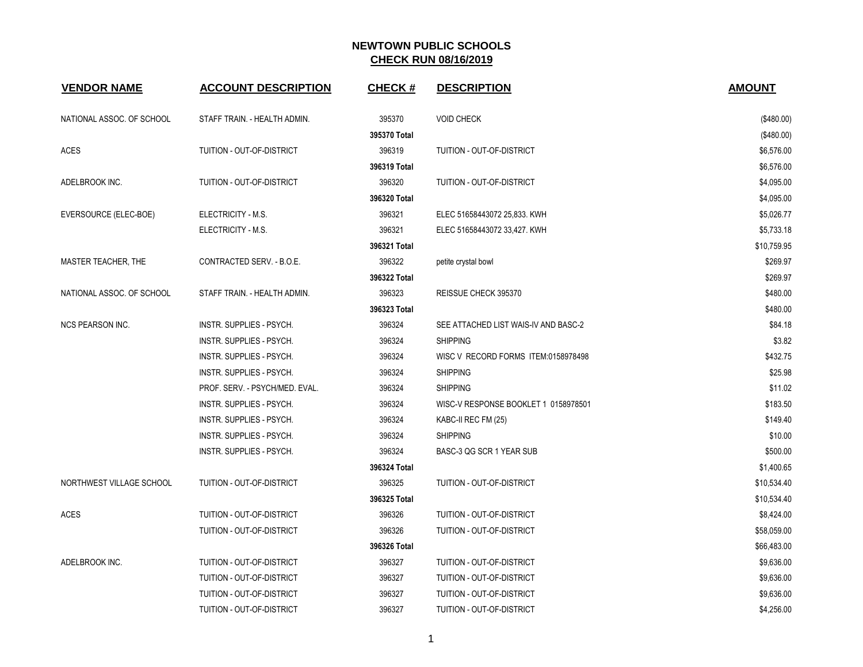| <b>VENDOR NAME</b>        | <b>ACCOUNT DESCRIPTION</b>     | <b>CHECK#</b> | <b>DESCRIPTION</b>                   | <b>AMOUNT</b> |
|---------------------------|--------------------------------|---------------|--------------------------------------|---------------|
| NATIONAL ASSOC. OF SCHOOL | STAFF TRAIN. - HEALTH ADMIN.   | 395370        | <b>VOID CHECK</b>                    | (\$480.00)    |
|                           |                                | 395370 Total  |                                      | (\$480.00)    |
| <b>ACES</b>               | TUITION - OUT-OF-DISTRICT      | 396319        | TUITION - OUT-OF-DISTRICT            | \$6,576.00    |
|                           |                                | 396319 Total  |                                      | \$6,576.00    |
| ADELBROOK INC.            | TUITION - OUT-OF-DISTRICT      | 396320        | <b>TUITION - OUT-OF-DISTRICT</b>     | \$4,095.00    |
|                           |                                | 396320 Total  |                                      | \$4,095.00    |
| EVERSOURCE (ELEC-BOE)     | ELECTRICITY - M.S.             | 396321        | ELEC 51658443072 25,833. KWH         | \$5,026.77    |
|                           | ELECTRICITY - M.S.             | 396321        | ELEC 51658443072 33,427. KWH         | \$5,733.18    |
|                           |                                | 396321 Total  |                                      | \$10,759.95   |
| MASTER TEACHER, THE       | CONTRACTED SERV. - B.O.E.      | 396322        | petite crystal bowl                  | \$269.97      |
|                           |                                | 396322 Total  |                                      | \$269.97      |
| NATIONAL ASSOC. OF SCHOOL | STAFF TRAIN. - HEALTH ADMIN.   | 396323        | REISSUE CHECK 395370                 | \$480.00      |
|                           |                                | 396323 Total  |                                      | \$480.00      |
| <b>NCS PEARSON INC.</b>   | INSTR. SUPPLIES - PSYCH.       | 396324        | SEE ATTACHED LIST WAIS-IV AND BASC-2 | \$84.18       |
|                           | INSTR. SUPPLIES - PSYCH.       | 396324        | <b>SHIPPING</b>                      | \$3.82        |
|                           | INSTR. SUPPLIES - PSYCH.       | 396324        | WISC V RECORD FORMS ITEM:0158978498  | \$432.75      |
|                           | INSTR. SUPPLIES - PSYCH.       | 396324        | <b>SHIPPING</b>                      | \$25.98       |
|                           | PROF. SERV. - PSYCH/MED. EVAL. | 396324        | <b>SHIPPING</b>                      | \$11.02       |
|                           | INSTR. SUPPLIES - PSYCH.       | 396324        | WISC-V RESPONSE BOOKLET 1 0158978501 | \$183.50      |
|                           | INSTR. SUPPLIES - PSYCH.       | 396324        | KABC-II REC FM (25)                  | \$149.40      |
|                           | INSTR. SUPPLIES - PSYCH.       | 396324        | <b>SHIPPING</b>                      | \$10.00       |
|                           | INSTR. SUPPLIES - PSYCH.       | 396324        | BASC-3 QG SCR 1 YEAR SUB             | \$500.00      |
|                           |                                | 396324 Total  |                                      | \$1,400.65    |
| NORTHWEST VILLAGE SCHOOL  | TUITION - OUT-OF-DISTRICT      | 396325        | TUITION - OUT-OF-DISTRICT            | \$10,534.40   |
|                           |                                | 396325 Total  |                                      | \$10,534.40   |
| ACES                      | TUITION - OUT-OF-DISTRICT      | 396326        | TUITION - OUT-OF-DISTRICT            | \$8,424.00    |
|                           | TUITION - OUT-OF-DISTRICT      | 396326        | TUITION - OUT-OF-DISTRICT            | \$58,059.00   |
|                           |                                | 396326 Total  |                                      | \$66,483.00   |
| ADELBROOK INC.            | TUITION - OUT-OF-DISTRICT      | 396327        | TUITION - OUT-OF-DISTRICT            | \$9,636.00    |
|                           | TUITION - OUT-OF-DISTRICT      | 396327        | TUITION - OUT-OF-DISTRICT            | \$9,636.00    |
|                           | TUITION - OUT-OF-DISTRICT      | 396327        | <b>TUITION - OUT-OF-DISTRICT</b>     | \$9,636.00    |
|                           | TUITION - OUT-OF-DISTRICT      | 396327        | TUITION - OUT-OF-DISTRICT            | \$4,256.00    |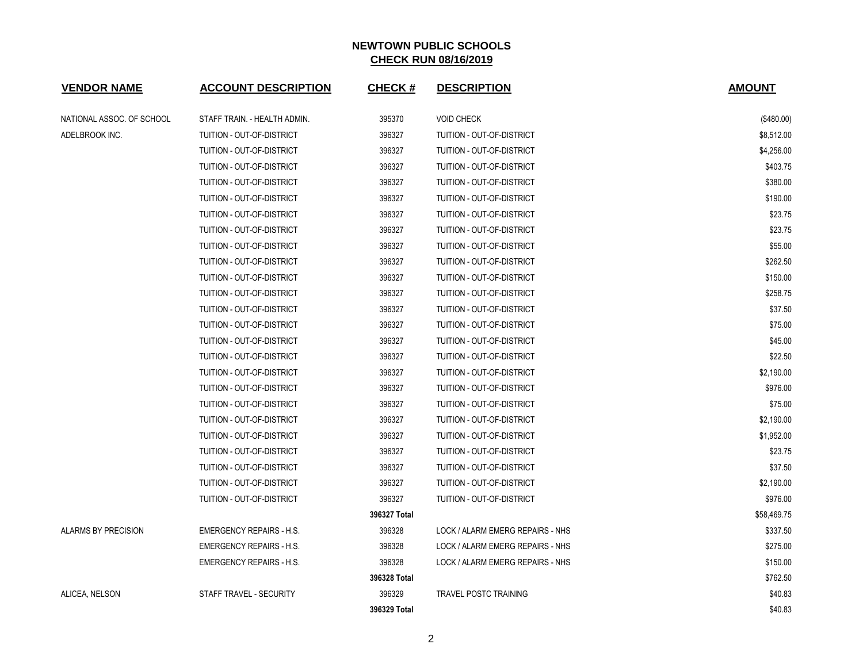| <b>VENDOR NAME</b>        | <b>ACCOUNT DESCRIPTION</b>      | <b>CHECK#</b> | <b>DESCRIPTION</b>               | <b>AMOUNT</b> |
|---------------------------|---------------------------------|---------------|----------------------------------|---------------|
| NATIONAL ASSOC. OF SCHOOL | STAFF TRAIN. - HEALTH ADMIN.    | 395370        | <b>VOID CHECK</b>                | (\$480.00)    |
| ADELBROOK INC.            | TUITION - OUT-OF-DISTRICT       | 396327        | TUITION - OUT-OF-DISTRICT        | \$8,512.00    |
|                           | TUITION - OUT-OF-DISTRICT       | 396327        | TUITION - OUT-OF-DISTRICT        | \$4,256.00    |
|                           | TUITION - OUT-OF-DISTRICT       | 396327        | TUITION - OUT-OF-DISTRICT        | \$403.75      |
|                           | TUITION - OUT-OF-DISTRICT       | 396327        | TUITION - OUT-OF-DISTRICT        | \$380.00      |
|                           | TUITION - OUT-OF-DISTRICT       | 396327        | TUITION - OUT-OF-DISTRICT        | \$190.00      |
|                           | TUITION - OUT-OF-DISTRICT       | 396327        | TUITION - OUT-OF-DISTRICT        | \$23.75       |
|                           | TUITION - OUT-OF-DISTRICT       | 396327        | TUITION - OUT-OF-DISTRICT        | \$23.75       |
|                           | TUITION - OUT-OF-DISTRICT       | 396327        | TUITION - OUT-OF-DISTRICT        | \$55.00       |
|                           | TUITION - OUT-OF-DISTRICT       | 396327        | TUITION - OUT-OF-DISTRICT        | \$262.50      |
|                           | TUITION - OUT-OF-DISTRICT       | 396327        | TUITION - OUT-OF-DISTRICT        | \$150.00      |
|                           | TUITION - OUT-OF-DISTRICT       | 396327        | TUITION - OUT-OF-DISTRICT        | \$258.75      |
|                           | TUITION - OUT-OF-DISTRICT       | 396327        | TUITION - OUT-OF-DISTRICT        | \$37.50       |
|                           | TUITION - OUT-OF-DISTRICT       | 396327        | TUITION - OUT-OF-DISTRICT        | \$75.00       |
|                           | TUITION - OUT-OF-DISTRICT       | 396327        | TUITION - OUT-OF-DISTRICT        | \$45.00       |
|                           | TUITION - OUT-OF-DISTRICT       | 396327        | TUITION - OUT-OF-DISTRICT        | \$22.50       |
|                           | TUITION - OUT-OF-DISTRICT       | 396327        | TUITION - OUT-OF-DISTRICT        | \$2,190.00    |
|                           | TUITION - OUT-OF-DISTRICT       | 396327        | TUITION - OUT-OF-DISTRICT        | \$976.00      |
|                           | TUITION - OUT-OF-DISTRICT       | 396327        | TUITION - OUT-OF-DISTRICT        | \$75.00       |
|                           | TUITION - OUT-OF-DISTRICT       | 396327        | TUITION - OUT-OF-DISTRICT        | \$2,190.00    |
|                           | TUITION - OUT-OF-DISTRICT       | 396327        | TUITION - OUT-OF-DISTRICT        | \$1,952.00    |
|                           | TUITION - OUT-OF-DISTRICT       | 396327        | TUITION - OUT-OF-DISTRICT        | \$23.75       |
|                           | TUITION - OUT-OF-DISTRICT       | 396327        | TUITION - OUT-OF-DISTRICT        | \$37.50       |
|                           | TUITION - OUT-OF-DISTRICT       | 396327        | TUITION - OUT-OF-DISTRICT        | \$2,190.00    |
|                           | TUITION - OUT-OF-DISTRICT       | 396327        | TUITION - OUT-OF-DISTRICT        | \$976.00      |
|                           |                                 | 396327 Total  |                                  | \$58,469.75   |
| ALARMS BY PRECISION       | <b>EMERGENCY REPAIRS - H.S.</b> | 396328        | LOCK / ALARM EMERG REPAIRS - NHS | \$337.50      |
|                           | <b>EMERGENCY REPAIRS - H.S.</b> | 396328        | LOCK / ALARM EMERG REPAIRS - NHS | \$275.00      |
|                           | <b>EMERGENCY REPAIRS - H.S.</b> | 396328        | LOCK / ALARM EMERG REPAIRS - NHS | \$150.00      |
|                           |                                 | 396328 Total  |                                  | \$762.50      |
| ALICEA, NELSON            | STAFF TRAVEL - SECURITY         | 396329        | <b>TRAVEL POSTC TRAINING</b>     | \$40.83       |
|                           |                                 | 396329 Total  |                                  | \$40.83       |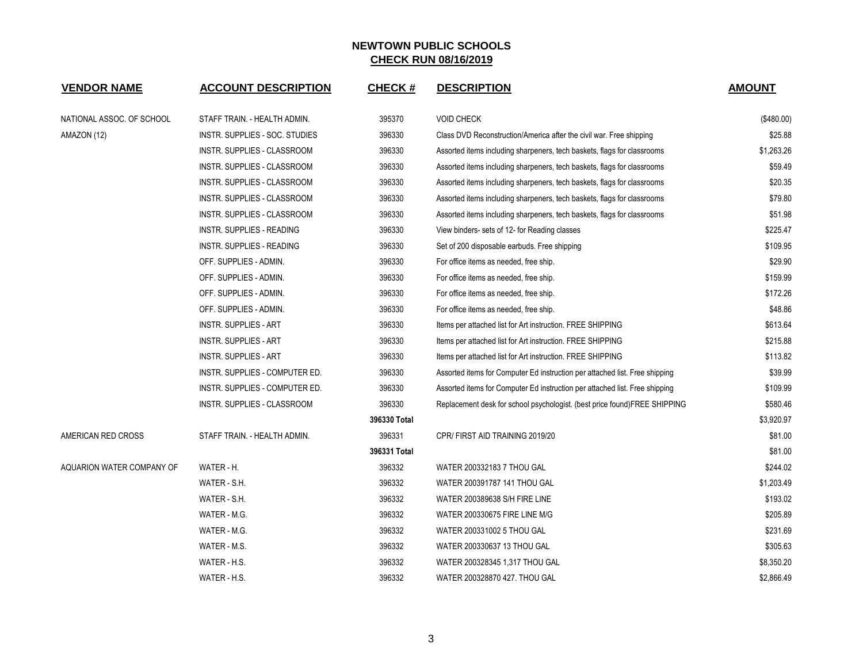| <b>VENDOR NAME</b>        | <b>ACCOUNT DESCRIPTION</b>       | <b>CHECK#</b> | <b>DESCRIPTION</b>                                                          | <b>AMOUNT</b> |
|---------------------------|----------------------------------|---------------|-----------------------------------------------------------------------------|---------------|
| NATIONAL ASSOC. OF SCHOOL | STAFF TRAIN. - HEALTH ADMIN.     | 395370        | <b>VOID CHECK</b>                                                           | (\$480.00)    |
| AMAZON (12)               | INSTR. SUPPLIES - SOC. STUDIES   | 396330        | Class DVD Reconstruction/America after the civil war. Free shipping         | \$25.88       |
|                           | INSTR. SUPPLIES - CLASSROOM      | 396330        | Assorted items including sharpeners, tech baskets, flags for classrooms     | \$1,263.26    |
|                           | INSTR. SUPPLIES - CLASSROOM      | 396330        | Assorted items including sharpeners, tech baskets, flags for classrooms     | \$59.49       |
|                           | INSTR. SUPPLIES - CLASSROOM      | 396330        | Assorted items including sharpeners, tech baskets, flags for classrooms     | \$20.35       |
|                           | INSTR. SUPPLIES - CLASSROOM      | 396330        | Assorted items including sharpeners, tech baskets, flags for classrooms     | \$79.80       |
|                           | INSTR. SUPPLIES - CLASSROOM      | 396330        | Assorted items including sharpeners, tech baskets, flags for classrooms     | \$51.98       |
|                           | <b>INSTR. SUPPLIES - READING</b> | 396330        | View binders- sets of 12- for Reading classes                               | \$225.47      |
|                           | <b>INSTR. SUPPLIES - READING</b> | 396330        | Set of 200 disposable earbuds. Free shipping                                | \$109.95      |
|                           | OFF. SUPPLIES - ADMIN.           | 396330        | For office items as needed, free ship.                                      | \$29.90       |
|                           | OFF. SUPPLIES - ADMIN.           | 396330        | For office items as needed, free ship.                                      | \$159.99      |
|                           | OFF. SUPPLIES - ADMIN.           | 396330        | For office items as needed, free ship.                                      | \$172.26      |
|                           | OFF. SUPPLIES - ADMIN.           | 396330        | For office items as needed, free ship.                                      | \$48.86       |
|                           | <b>INSTR. SUPPLIES - ART</b>     | 396330        | Items per attached list for Art instruction. FREE SHIPPING                  | \$613.64      |
|                           | <b>INSTR. SUPPLIES - ART</b>     | 396330        | Items per attached list for Art instruction. FREE SHIPPING                  | \$215.88      |
|                           | <b>INSTR. SUPPLIES - ART</b>     | 396330        | Items per attached list for Art instruction. FREE SHIPPING                  | \$113.82      |
|                           | INSTR. SUPPLIES - COMPUTER ED.   | 396330        | Assorted items for Computer Ed instruction per attached list. Free shipping | \$39.99       |
|                           | INSTR. SUPPLIES - COMPUTER ED.   | 396330        | Assorted items for Computer Ed instruction per attached list. Free shipping | \$109.99      |
|                           | INSTR. SUPPLIES - CLASSROOM      | 396330        | Replacement desk for school psychologist. (best price found)FREE SHIPPING   | \$580.46      |
|                           |                                  | 396330 Total  |                                                                             | \$3,920.97    |
| AMERICAN RED CROSS        | STAFF TRAIN. - HEALTH ADMIN.     | 396331        | CPR/FIRST AID TRAINING 2019/20                                              | \$81.00       |
|                           |                                  | 396331 Total  |                                                                             | \$81.00       |
| AQUARION WATER COMPANY OF | WATER - H.                       | 396332        | WATER 200332183 7 THOU GAL                                                  | \$244.02      |
|                           | WATER - S.H.                     | 396332        | WATER 200391787 141 THOU GAL                                                | \$1,203.49    |
|                           | WATER - S.H.                     | 396332        | WATER 200389638 S/H FIRE LINE                                               | \$193.02      |
|                           | WATER - M.G.                     | 396332        | WATER 200330675 FIRE LINE M/G                                               | \$205.89      |
|                           | WATER - M.G.                     | 396332        | WATER 200331002 5 THOU GAL                                                  | \$231.69      |
|                           | WATER - M.S.                     | 396332        | WATER 200330637 13 THOU GAL                                                 | \$305.63      |
|                           | WATER - H.S.                     | 396332        | WATER 200328345 1,317 THOU GAL                                              | \$8,350.20    |
|                           | WATER - H.S.                     | 396332        | WATER 200328870 427. THOU GAL                                               | \$2,866.49    |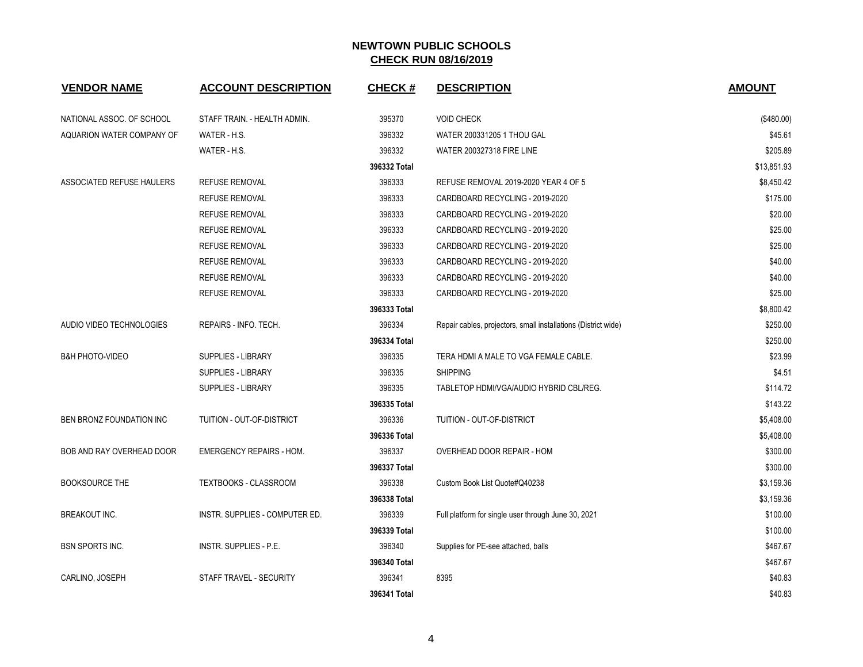| <b>VENDOR NAME</b>         | <b>ACCOUNT DESCRIPTION</b>      | <b>CHECK#</b> | <b>DESCRIPTION</b>                                             | <b>AMOUNT</b> |
|----------------------------|---------------------------------|---------------|----------------------------------------------------------------|---------------|
| NATIONAL ASSOC. OF SCHOOL  | STAFF TRAIN. - HEALTH ADMIN.    | 395370        | <b>VOID CHECK</b>                                              | (\$480.00)    |
| AQUARION WATER COMPANY OF  | WATER - H.S.                    | 396332        | WATER 200331205 1 THOU GAL                                     | \$45.61       |
|                            | WATER - H.S.                    | 396332        | <b>WATER 200327318 FIRE LINE</b>                               | \$205.89      |
|                            |                                 | 396332 Total  |                                                                | \$13,851.93   |
| ASSOCIATED REFUSE HAULERS  | <b>REFUSE REMOVAL</b>           | 396333        | REFUSE REMOVAL 2019-2020 YEAR 4 OF 5                           | \$8,450.42    |
|                            | <b>REFUSE REMOVAL</b>           | 396333        | CARDBOARD RECYCLING - 2019-2020                                | \$175.00      |
|                            | <b>REFUSE REMOVAL</b>           | 396333        | CARDBOARD RECYCLING - 2019-2020                                | \$20.00       |
|                            | <b>REFUSE REMOVAL</b>           | 396333        | CARDBOARD RECYCLING - 2019-2020                                | \$25.00       |
|                            | <b>REFUSE REMOVAL</b>           | 396333        | CARDBOARD RECYCLING - 2019-2020                                | \$25.00       |
|                            | <b>REFUSE REMOVAL</b>           | 396333        | CARDBOARD RECYCLING - 2019-2020                                | \$40.00       |
|                            | <b>REFUSE REMOVAL</b>           | 396333        | CARDBOARD RECYCLING - 2019-2020                                | \$40.00       |
|                            | <b>REFUSE REMOVAL</b>           | 396333        | CARDBOARD RECYCLING - 2019-2020                                | \$25.00       |
|                            |                                 | 396333 Total  |                                                                | \$8,800.42    |
| AUDIO VIDEO TECHNOLOGIES   | REPAIRS - INFO. TECH.           | 396334        | Repair cables, projectors, small installations (District wide) | \$250.00      |
|                            |                                 | 396334 Total  |                                                                | \$250.00      |
| <b>B&amp;H PHOTO-VIDEO</b> | SUPPLIES - LIBRARY              | 396335        | TERA HDMI A MALE TO VGA FEMALE CABLE.                          | \$23.99       |
|                            | <b>SUPPLIES - LIBRARY</b>       | 396335        | <b>SHIPPING</b>                                                | \$4.51        |
|                            | SUPPLIES - LIBRARY              | 396335        | TABLETOP HDMI/VGA/AUDIO HYBRID CBL/REG.                        | \$114.72      |
|                            |                                 | 396335 Total  |                                                                | \$143.22      |
| BEN BRONZ FOUNDATION INC   | TUITION - OUT-OF-DISTRICT       | 396336        | TUITION - OUT-OF-DISTRICT                                      | \$5,408.00    |
|                            |                                 | 396336 Total  |                                                                | \$5,408.00    |
| BOB AND RAY OVERHEAD DOOR  | <b>EMERGENCY REPAIRS - HOM.</b> | 396337        | OVERHEAD DOOR REPAIR - HOM                                     | \$300.00      |
|                            |                                 | 396337 Total  |                                                                | \$300.00      |
| <b>BOOKSOURCE THE</b>      | TEXTBOOKS - CLASSROOM           | 396338        | Custom Book List Quote#Q40238                                  | \$3,159.36    |
|                            |                                 | 396338 Total  |                                                                | \$3,159.36    |
| <b>BREAKOUT INC.</b>       | INSTR. SUPPLIES - COMPUTER ED.  | 396339        | Full platform for single user through June 30, 2021            | \$100.00      |
|                            |                                 | 396339 Total  |                                                                | \$100.00      |
| <b>BSN SPORTS INC.</b>     | <b>INSTR. SUPPLIES - P.E.</b>   | 396340        | Supplies for PE-see attached, balls                            | \$467.67      |
|                            |                                 | 396340 Total  |                                                                | \$467.67      |
| CARLINO, JOSEPH            | STAFF TRAVEL - SECURITY         | 396341        | 8395                                                           | \$40.83       |
|                            |                                 | 396341 Total  |                                                                | \$40.83       |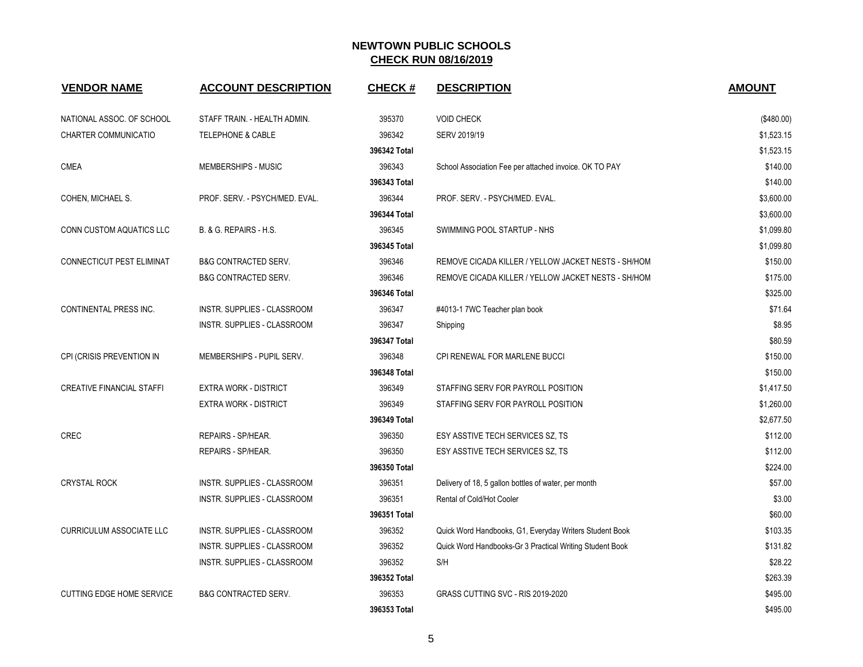| <b>VENDOR NAME</b>               | <b>ACCOUNT DESCRIPTION</b>      | <b>CHECK#</b> | <b>DESCRIPTION</b>                                       | <b>AMOUNT</b> |
|----------------------------------|---------------------------------|---------------|----------------------------------------------------------|---------------|
| NATIONAL ASSOC. OF SCHOOL        | STAFF TRAIN. - HEALTH ADMIN.    | 395370        | <b>VOID CHECK</b>                                        | (\$480.00)    |
| CHARTER COMMUNICATIO             | <b>TELEPHONE &amp; CABLE</b>    | 396342        | SERV 2019/19                                             | \$1,523.15    |
|                                  |                                 | 396342 Total  |                                                          | \$1,523.15    |
| <b>CMEA</b>                      | MEMBERSHIPS - MUSIC             | 396343        | School Association Fee per attached invoice. OK TO PAY   | \$140.00      |
|                                  |                                 | 396343 Total  |                                                          | \$140.00      |
| COHEN, MICHAEL S.                | PROF. SERV. - PSYCH/MED. EVAL.  | 396344        | PROF. SERV. - PSYCH/MED. EVAL.                           | \$3,600.00    |
|                                  |                                 | 396344 Total  |                                                          | \$3,600.00    |
| CONN CUSTOM AQUATICS LLC         | B. & G. REPAIRS - H.S.          | 396345        | SWIMMING POOL STARTUP - NHS                              | \$1,099.80    |
|                                  |                                 | 396345 Total  |                                                          | \$1,099.80    |
| CONNECTICUT PEST ELIMINAT        | <b>B&amp;G CONTRACTED SERV.</b> | 396346        | REMOVE CICADA KILLER / YELLOW JACKET NESTS - SH/HOM      | \$150.00      |
|                                  | <b>B&amp;G CONTRACTED SERV.</b> | 396346        | REMOVE CICADA KILLER / YELLOW JACKET NESTS - SH/HOM      | \$175.00      |
|                                  |                                 | 396346 Total  |                                                          | \$325.00      |
| CONTINENTAL PRESS INC.           | INSTR. SUPPLIES - CLASSROOM     | 396347        | #4013-1 7WC Teacher plan book                            | \$71.64       |
|                                  | INSTR. SUPPLIES - CLASSROOM     | 396347        | Shipping                                                 | \$8.95        |
|                                  |                                 | 396347 Total  |                                                          | \$80.59       |
| CPI (CRISIS PREVENTION IN        | MEMBERSHIPS - PUPIL SERV.       | 396348        | CPI RENEWAL FOR MARLENE BUCCI                            | \$150.00      |
|                                  |                                 | 396348 Total  |                                                          | \$150.00      |
| <b>CREATIVE FINANCIAL STAFFI</b> | <b>EXTRA WORK - DISTRICT</b>    | 396349        | STAFFING SERV FOR PAYROLL POSITION                       | \$1,417.50    |
|                                  | <b>EXTRA WORK - DISTRICT</b>    | 396349        | STAFFING SERV FOR PAYROLL POSITION                       | \$1,260.00    |
|                                  |                                 | 396349 Total  |                                                          | \$2,677.50    |
| <b>CREC</b>                      | REPAIRS - SP/HEAR.              | 396350        | ESY ASSTIVE TECH SERVICES SZ, TS                         | \$112.00      |
|                                  | REPAIRS - SP/HEAR.              | 396350        | ESY ASSTIVE TECH SERVICES SZ. TS                         | \$112.00      |
|                                  |                                 | 396350 Total  |                                                          | \$224.00      |
| <b>CRYSTAL ROCK</b>              | INSTR. SUPPLIES - CLASSROOM     | 396351        | Delivery of 18, 5 gallon bottles of water, per month     | \$57.00       |
|                                  | INSTR. SUPPLIES - CLASSROOM     | 396351        | Rental of Cold/Hot Cooler                                | \$3.00        |
|                                  |                                 | 396351 Total  |                                                          | \$60.00       |
| <b>CURRICULUM ASSOCIATE LLC</b>  | INSTR. SUPPLIES - CLASSROOM     | 396352        | Quick Word Handbooks, G1, Everyday Writers Student Book  | \$103.35      |
|                                  | INSTR. SUPPLIES - CLASSROOM     | 396352        | Quick Word Handbooks-Gr 3 Practical Writing Student Book | \$131.82      |
|                                  | INSTR. SUPPLIES - CLASSROOM     | 396352        | S/H                                                      | \$28.22       |
|                                  |                                 | 396352 Total  |                                                          | \$263.39      |
| <b>CUTTING EDGE HOME SERVICE</b> | <b>B&amp;G CONTRACTED SERV.</b> | 396353        | GRASS CUTTING SVC - RIS 2019-2020                        | \$495.00      |
|                                  |                                 | 396353 Total  |                                                          | \$495.00      |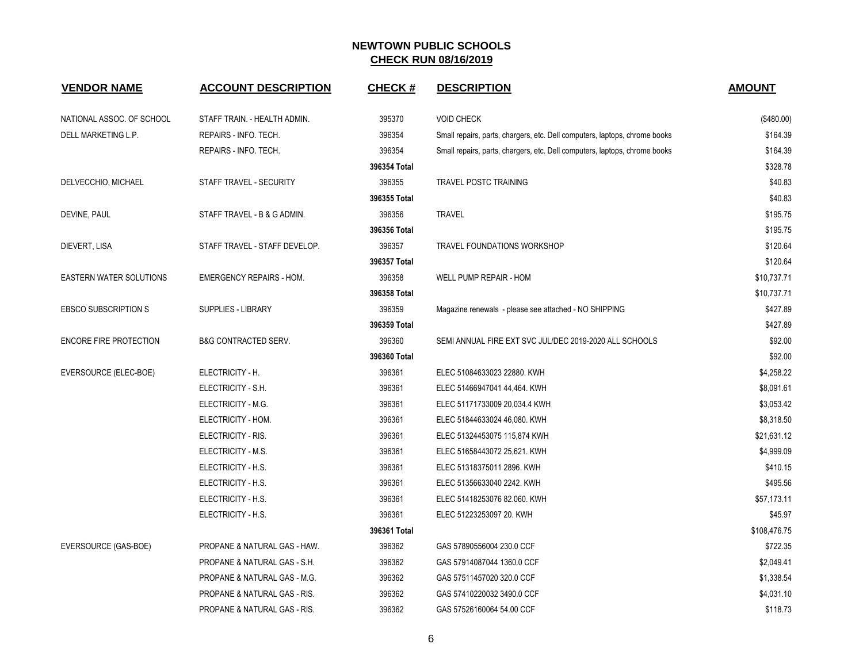| <b>VENDOR NAME</b>             | <b>ACCOUNT DESCRIPTION</b>              | <b>CHECK#</b> | <b>DESCRIPTION</b>                                                         | <b>AMOUNT</b> |
|--------------------------------|-----------------------------------------|---------------|----------------------------------------------------------------------------|---------------|
| NATIONAL ASSOC. OF SCHOOL      | STAFF TRAIN. - HEALTH ADMIN.            | 395370        | <b>VOID CHECK</b>                                                          | (\$480.00)    |
| DELL MARKETING L.P.            | REPAIRS - INFO. TECH.                   | 396354        | Small repairs, parts, chargers, etc. Dell computers, laptops, chrome books | \$164.39      |
|                                | REPAIRS - INFO. TECH.                   | 396354        | Small repairs, parts, chargers, etc. Dell computers, laptops, chrome books | \$164.39      |
|                                |                                         | 396354 Total  |                                                                            | \$328.78      |
| DELVECCHIO, MICHAEL            | STAFF TRAVEL - SECURITY                 | 396355        | <b>TRAVEL POSTC TRAINING</b>                                               | \$40.83       |
|                                |                                         | 396355 Total  |                                                                            | \$40.83       |
| DEVINE, PAUL                   | STAFF TRAVEL - B & G ADMIN.             | 396356        | <b>TRAVEL</b>                                                              | \$195.75      |
|                                |                                         | 396356 Total  |                                                                            | \$195.75      |
| DIEVERT, LISA                  | STAFF TRAVEL - STAFF DEVELOP.           | 396357        | <b>TRAVEL FOUNDATIONS WORKSHOP</b>                                         | \$120.64      |
|                                |                                         | 396357 Total  |                                                                            | \$120.64      |
| <b>EASTERN WATER SOLUTIONS</b> | <b>EMERGENCY REPAIRS - HOM.</b>         | 396358        | WELL PUMP REPAIR - HOM                                                     | \$10,737.71   |
|                                |                                         | 396358 Total  |                                                                            | \$10,737.71   |
| <b>EBSCO SUBSCRIPTION S</b>    | SUPPLIES - LIBRARY                      | 396359        | Magazine renewals - please see attached - NO SHIPPING                      | \$427.89      |
|                                |                                         | 396359 Total  |                                                                            | \$427.89      |
| <b>ENCORE FIRE PROTECTION</b>  | <b>B&amp;G CONTRACTED SERV.</b>         | 396360        | SEMI ANNUAL FIRE EXT SVC JUL/DEC 2019-2020 ALL SCHOOLS                     | \$92.00       |
|                                |                                         | 396360 Total  |                                                                            | \$92.00       |
| EVERSOURCE (ELEC-BOE)          | ELECTRICITY - H.                        | 396361        | ELEC 51084633023 22880. KWH                                                | \$4,258.22    |
|                                | ELECTRICITY - S.H.                      | 396361        | ELEC 51466947041 44,464. KWH                                               | \$8,091.61    |
|                                | ELECTRICITY - M.G.                      | 396361        | ELEC 51171733009 20,034.4 KWH                                              | \$3,053.42    |
|                                | ELECTRICITY - HOM.                      | 396361        | ELEC 51844633024 46,080. KWH                                               | \$8,318.50    |
|                                | ELECTRICITY - RIS.                      | 396361        | ELEC 51324453075 115,874 KWH                                               | \$21,631.12   |
|                                | ELECTRICITY - M.S.                      | 396361        | ELEC 51658443072 25,621. KWH                                               | \$4,999.09    |
|                                | ELECTRICITY - H.S.                      | 396361        | ELEC 51318375011 2896. KWH                                                 | \$410.15      |
|                                | ELECTRICITY - H.S.                      | 396361        | ELEC 51356633040 2242. KWH                                                 | \$495.56      |
|                                | ELECTRICITY - H.S.                      | 396361        | ELEC 51418253076 82.060. KWH                                               | \$57,173.11   |
|                                | ELECTRICITY - H.S.                      | 396361        | ELEC 51223253097 20. KWH                                                   | \$45.97       |
|                                |                                         | 396361 Total  |                                                                            | \$108,476.75  |
| EVERSOURCE (GAS-BOE)           | PROPANE & NATURAL GAS - HAW.            | 396362        | GAS 57890556004 230.0 CCF                                                  | \$722.35      |
|                                | PROPANE & NATURAL GAS - S.H.            | 396362        | GAS 57914087044 1360.0 CCF                                                 | \$2,049.41    |
|                                | PROPANE & NATURAL GAS - M.G.            | 396362        | GAS 57511457020 320.0 CCF                                                  | \$1,338.54    |
|                                | PROPANE & NATURAL GAS - RIS.            | 396362        | GAS 57410220032 3490.0 CCF                                                 | \$4,031.10    |
|                                | <b>PROPANE &amp; NATURAL GAS - RIS.</b> | 396362        | GAS 57526160064 54.00 CCF                                                  | \$118.73      |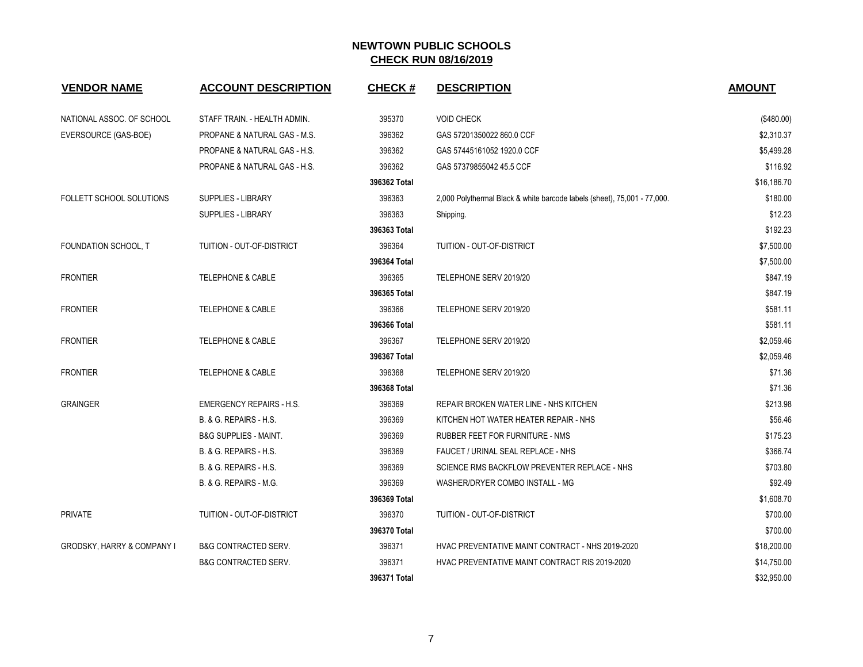| <b>VENDOR NAME</b>                    | <b>ACCOUNT DESCRIPTION</b>              | <b>CHECK#</b> | <b>DESCRIPTION</b>                                                       | <b>AMOUNT</b> |
|---------------------------------------|-----------------------------------------|---------------|--------------------------------------------------------------------------|---------------|
| NATIONAL ASSOC. OF SCHOOL             | STAFF TRAIN. - HEALTH ADMIN.            | 395370        | <b>VOID CHECK</b>                                                        | (\$480.00)    |
| EVERSOURCE (GAS-BOE)                  | PROPANE & NATURAL GAS - M.S.            | 396362        | GAS 57201350022 860.0 CCF                                                | \$2,310.37    |
|                                       | PROPANE & NATURAL GAS - H.S.            | 396362        | GAS 57445161052 1920.0 CCF                                               | \$5,499.28    |
|                                       | <b>PROPANE &amp; NATURAL GAS - H.S.</b> | 396362        | GAS 57379855042 45.5 CCF                                                 | \$116.92      |
|                                       |                                         | 396362 Total  |                                                                          | \$16,186.70   |
| <b>FOLLETT SCHOOL SOLUTIONS</b>       | <b>SUPPLIES - LIBRARY</b>               | 396363        | 2,000 Polythermal Black & white barcode labels (sheet), 75,001 - 77,000. | \$180.00      |
|                                       | <b>SUPPLIES - LIBRARY</b>               | 396363        | Shipping.                                                                | \$12.23       |
|                                       |                                         | 396363 Total  |                                                                          | \$192.23      |
| FOUNDATION SCHOOL, T                  | TUITION - OUT-OF-DISTRICT               | 396364        | TUITION - OUT-OF-DISTRICT                                                | \$7,500.00    |
|                                       |                                         | 396364 Total  |                                                                          | \$7,500.00    |
| <b>FRONTIER</b>                       | <b>TELEPHONE &amp; CABLE</b>            | 396365        | TELEPHONE SERV 2019/20                                                   | \$847.19      |
|                                       |                                         | 396365 Total  |                                                                          | \$847.19      |
| <b>FRONTIER</b>                       | <b>TELEPHONE &amp; CABLE</b>            | 396366        | TELEPHONE SERV 2019/20                                                   | \$581.11      |
|                                       |                                         | 396366 Total  |                                                                          | \$581.11      |
| <b>FRONTIER</b>                       | <b>TELEPHONE &amp; CABLE</b>            | 396367        | TELEPHONE SERV 2019/20                                                   | \$2,059.46    |
|                                       |                                         | 396367 Total  |                                                                          | \$2,059.46    |
| <b>FRONTIER</b>                       | <b>TELEPHONE &amp; CABLE</b>            | 396368        | TELEPHONE SERV 2019/20                                                   | \$71.36       |
|                                       |                                         | 396368 Total  |                                                                          | \$71.36       |
| <b>GRAINGER</b>                       | <b>EMERGENCY REPAIRS - H.S.</b>         | 396369        | REPAIR BROKEN WATER LINE - NHS KITCHEN                                   | \$213.98      |
|                                       | B. & G. REPAIRS - H.S.                  | 396369        | KITCHEN HOT WATER HEATER REPAIR - NHS                                    | \$56.46       |
|                                       | <b>B&amp;G SUPPLIES - MAINT.</b>        | 396369        | RUBBER FEET FOR FURNITURE - NMS                                          | \$175.23      |
|                                       | B. & G. REPAIRS - H.S.                  | 396369        | FAUCET / URINAL SEAL REPLACE - NHS                                       | \$366.74      |
|                                       | B. & G. REPAIRS - H.S.                  | 396369        | SCIENCE RMS BACKFLOW PREVENTER REPLACE - NHS                             | \$703.80      |
|                                       | B. & G. REPAIRS - M.G.                  | 396369        | WASHER/DRYER COMBO INSTALL - MG                                          | \$92.49       |
|                                       |                                         | 396369 Total  |                                                                          | \$1,608.70    |
| <b>PRIVATE</b>                        | TUITION - OUT-OF-DISTRICT               | 396370        | TUITION - OUT-OF-DISTRICT                                                | \$700.00      |
|                                       |                                         | 396370 Total  |                                                                          | \$700.00      |
| <b>GRODSKY, HARRY &amp; COMPANY I</b> | <b>B&amp;G CONTRACTED SERV.</b>         | 396371        | HVAC PREVENTATIVE MAINT CONTRACT - NHS 2019-2020                         | \$18,200.00   |
|                                       | <b>B&amp;G CONTRACTED SERV.</b>         | 396371        | HVAC PREVENTATIVE MAINT CONTRACT RIS 2019-2020                           | \$14,750.00   |
|                                       |                                         | 396371 Total  |                                                                          | \$32,950.00   |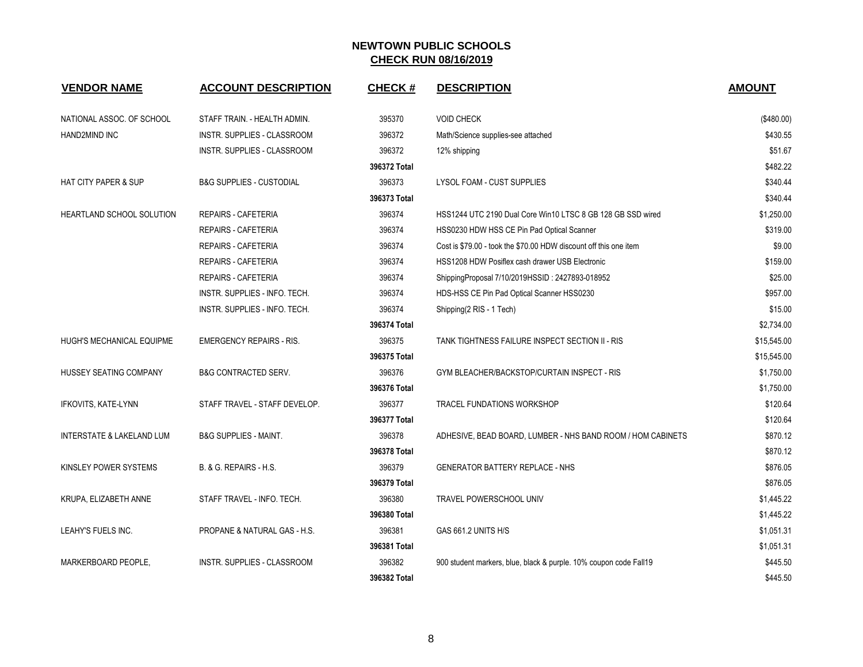| <b>VENDOR NAME</b>               | <b>ACCOUNT DESCRIPTION</b>          | <b>CHECK#</b> | <b>DESCRIPTION</b>                                                | <b>AMOUNT</b> |
|----------------------------------|-------------------------------------|---------------|-------------------------------------------------------------------|---------------|
| NATIONAL ASSOC. OF SCHOOL        | STAFF TRAIN. - HEALTH ADMIN.        | 395370        | <b>VOID CHECK</b>                                                 | (\$480.00)    |
| HAND2MIND INC                    | INSTR. SUPPLIES - CLASSROOM         | 396372        | Math/Science supplies-see attached                                | \$430.55      |
|                                  | INSTR. SUPPLIES - CLASSROOM         | 396372        | 12% shipping                                                      | \$51.67       |
|                                  |                                     | 396372 Total  |                                                                   | \$482.22      |
| <b>HAT CITY PAPER &amp; SUP</b>  | <b>B&amp;G SUPPLIES - CUSTODIAL</b> | 396373        | LYSOL FOAM - CUST SUPPLIES                                        | \$340.44      |
|                                  |                                     | 396373 Total  |                                                                   | \$340.44      |
| HEARTLAND SCHOOL SOLUTION        | REPAIRS - CAFETERIA                 | 396374        | HSS1244 UTC 2190 Dual Core Win10 LTSC 8 GB 128 GB SSD wired       | \$1,250.00    |
|                                  | <b>REPAIRS - CAFETERIA</b>          | 396374        | HSS0230 HDW HSS CE Pin Pad Optical Scanner                        | \$319.00      |
|                                  | <b>REPAIRS - CAFETERIA</b>          | 396374        | Cost is \$79.00 - took the \$70.00 HDW discount off this one item | \$9.00        |
|                                  | REPAIRS - CAFETERIA                 | 396374        | HSS1208 HDW Posiflex cash drawer USB Electronic                   | \$159.00      |
|                                  | <b>REPAIRS - CAFETERIA</b>          | 396374        | ShippingProposal 7/10/2019HSSID: 2427893-018952                   | \$25.00       |
|                                  | INSTR. SUPPLIES - INFO. TECH.       | 396374        | HDS-HSS CE Pin Pad Optical Scanner HSS0230                        | \$957.00      |
|                                  | INSTR. SUPPLIES - INFO. TECH.       | 396374        | Shipping(2 RIS - 1 Tech)                                          | \$15.00       |
|                                  |                                     | 396374 Total  |                                                                   | \$2,734.00    |
| <b>HUGH'S MECHANICAL EQUIPME</b> | <b>EMERGENCY REPAIRS - RIS.</b>     | 396375        | TANK TIGHTNESS FAILURE INSPECT SECTION II - RIS                   | \$15,545.00   |
|                                  |                                     | 396375 Total  |                                                                   | \$15,545.00   |
| HUSSEY SEATING COMPANY           | <b>B&amp;G CONTRACTED SERV.</b>     | 396376        | GYM BLEACHER/BACKSTOP/CURTAIN INSPECT - RIS                       | \$1,750.00    |
|                                  |                                     | 396376 Total  |                                                                   | \$1,750.00    |
| IFKOVITS, KATE-LYNN              | STAFF TRAVEL - STAFF DEVELOP.       | 396377        | <b>TRACEL FUNDATIONS WORKSHOP</b>                                 | \$120.64      |
|                                  |                                     | 396377 Total  |                                                                   | \$120.64      |
| INTERSTATE & LAKELAND LUM        | <b>B&amp;G SUPPLIES - MAINT.</b>    | 396378        | ADHESIVE, BEAD BOARD, LUMBER - NHS BAND ROOM / HOM CABINETS       | \$870.12      |
|                                  |                                     | 396378 Total  |                                                                   | \$870.12      |
| KINSLEY POWER SYSTEMS            | B. & G. REPAIRS - H.S.              | 396379        | <b>GENERATOR BATTERY REPLACE - NHS</b>                            | \$876.05      |
|                                  |                                     | 396379 Total  |                                                                   | \$876.05      |
| KRUPA, ELIZABETH ANNE            | STAFF TRAVEL - INFO. TECH.          | 396380        | TRAVEL POWERSCHOOL UNIV                                           | \$1,445.22    |
|                                  |                                     | 396380 Total  |                                                                   | \$1,445.22    |
| LEAHY'S FUELS INC.               | PROPANE & NATURAL GAS - H.S.        | 396381        | GAS 661.2 UNITS H/S                                               | \$1,051.31    |
|                                  |                                     | 396381 Total  |                                                                   | \$1,051.31    |
| MARKERBOARD PEOPLE.              | <b>INSTR. SUPPLIES - CLASSROOM</b>  | 396382        | 900 student markers, blue, black & purple. 10% coupon code Fall19 | \$445.50      |
|                                  |                                     | 396382 Total  |                                                                   | \$445.50      |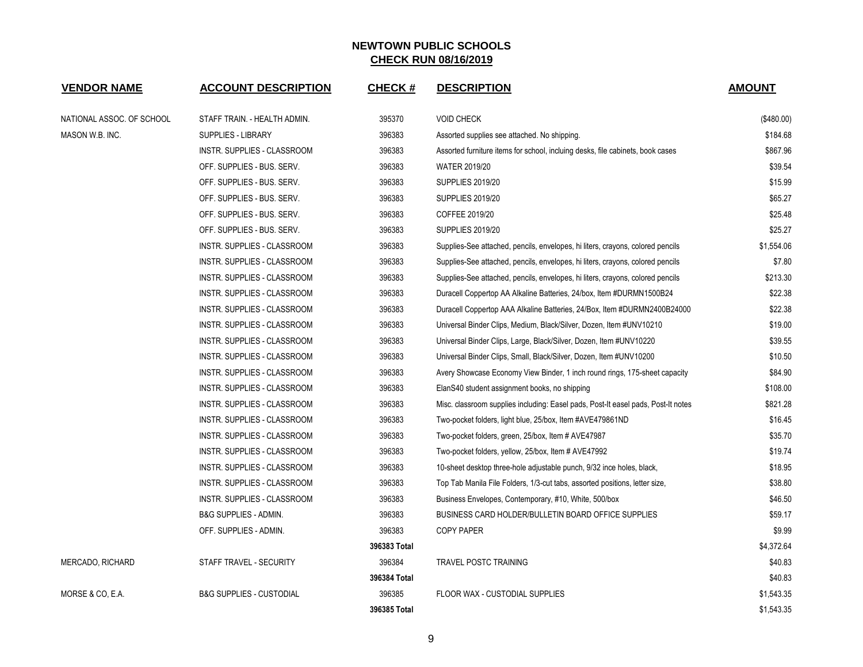| <b>VENDOR NAME</b>        | <b>ACCOUNT DESCRIPTION</b>          | <b>CHECK#</b> | <b>DESCRIPTION</b>                                                                | <b>AMOUNT</b> |
|---------------------------|-------------------------------------|---------------|-----------------------------------------------------------------------------------|---------------|
| NATIONAL ASSOC. OF SCHOOL | STAFF TRAIN. - HEALTH ADMIN.        | 395370        | <b>VOID CHECK</b>                                                                 | (\$480.00)    |
| MASON W.B. INC.           | SUPPLIES - LIBRARY                  | 396383        | Assorted supplies see attached. No shipping.                                      | \$184.68      |
|                           | INSTR. SUPPLIES - CLASSROOM         | 396383        | Assorted furniture items for school, incluing desks, file cabinets, book cases    | \$867.96      |
|                           | OFF. SUPPLIES - BUS. SERV.          | 396383        | WATER 2019/20                                                                     | \$39.54       |
|                           | OFF. SUPPLIES - BUS. SERV.          | 396383        | <b>SUPPLIES 2019/20</b>                                                           | \$15.99       |
|                           | OFF. SUPPLIES - BUS. SERV.          | 396383        | <b>SUPPLIES 2019/20</b>                                                           | \$65.27       |
|                           | OFF. SUPPLIES - BUS. SERV.          | 396383        | COFFEE 2019/20                                                                    | \$25.48       |
|                           | OFF. SUPPLIES - BUS. SERV.          | 396383        | <b>SUPPLIES 2019/20</b>                                                           | \$25.27       |
|                           | INSTR. SUPPLIES - CLASSROOM         | 396383        | Supplies-See attached, pencils, envelopes, hi liters, crayons, colored pencils    | \$1,554.06    |
|                           | INSTR. SUPPLIES - CLASSROOM         | 396383        | Supplies-See attached, pencils, envelopes, hi liters, crayons, colored pencils    | \$7.80        |
|                           | INSTR. SUPPLIES - CLASSROOM         | 396383        | Supplies-See attached, pencils, envelopes, hi liters, crayons, colored pencils    | \$213.30      |
|                           | INSTR. SUPPLIES - CLASSROOM         | 396383        | Duracell Coppertop AA Alkaline Batteries, 24/box, Item #DURMN1500B24              | \$22.38       |
|                           | INSTR. SUPPLIES - CLASSROOM         | 396383        | Duracell Coppertop AAA Alkaline Batteries, 24/Box, Item #DURMN2400B24000          | \$22.38       |
|                           | INSTR. SUPPLIES - CLASSROOM         | 396383        | Universal Binder Clips, Medium, Black/Silver, Dozen, Item #UNV10210               | \$19.00       |
|                           | INSTR. SUPPLIES - CLASSROOM         | 396383        | Universal Binder Clips, Large, Black/Silver, Dozen, Item #UNV10220                | \$39.55       |
|                           | INSTR. SUPPLIES - CLASSROOM         | 396383        | Universal Binder Clips, Small, Black/Silver, Dozen, Item #UNV10200                | \$10.50       |
|                           | INSTR. SUPPLIES - CLASSROOM         | 396383        | Avery Showcase Economy View Binder, 1 inch round rings, 175-sheet capacity        | \$84.90       |
|                           | INSTR. SUPPLIES - CLASSROOM         | 396383        | ElanS40 student assignment books, no shipping                                     | \$108.00      |
|                           | INSTR. SUPPLIES - CLASSROOM         | 396383        | Misc. classroom supplies including: Easel pads, Post-It easel pads, Post-It notes | \$821.28      |
|                           | INSTR. SUPPLIES - CLASSROOM         | 396383        | Two-pocket folders, light blue, 25/box, Item #AVE479861ND                         | \$16.45       |
|                           | INSTR. SUPPLIES - CLASSROOM         | 396383        | Two-pocket folders, green, 25/box, Item # AVE47987                                | \$35.70       |
|                           | INSTR. SUPPLIES - CLASSROOM         | 396383        | Two-pocket folders, yellow, 25/box, Item # AVE47992                               | \$19.74       |
|                           | INSTR. SUPPLIES - CLASSROOM         | 396383        | 10-sheet desktop three-hole adjustable punch, 9/32 ince holes, black,             | \$18.95       |
|                           | INSTR. SUPPLIES - CLASSROOM         | 396383        | Top Tab Manila File Folders, 1/3-cut tabs, assorted positions, letter size,       | \$38.80       |
|                           | INSTR. SUPPLIES - CLASSROOM         | 396383        | Business Envelopes, Contemporary, #10, White, 500/box                             | \$46.50       |
|                           | <b>B&amp;G SUPPLIES - ADMIN.</b>    | 396383        | BUSINESS CARD HOLDER/BULLETIN BOARD OFFICE SUPPLIES                               | \$59.17       |
|                           | OFF. SUPPLIES - ADMIN.              | 396383        | <b>COPY PAPER</b>                                                                 | \$9.99        |
|                           |                                     | 396383 Total  |                                                                                   | \$4,372.64    |
| MERCADO, RICHARD          | STAFF TRAVEL - SECURITY             | 396384        | TRAVEL POSTC TRAINING                                                             | \$40.83       |
|                           |                                     | 396384 Total  |                                                                                   | \$40.83       |
| MORSE & CO, E.A.          | <b>B&amp;G SUPPLIES - CUSTODIAL</b> | 396385        | FLOOR WAX - CUSTODIAL SUPPLIES                                                    | \$1,543.35    |
|                           |                                     | 396385 Total  |                                                                                   | \$1,543.35    |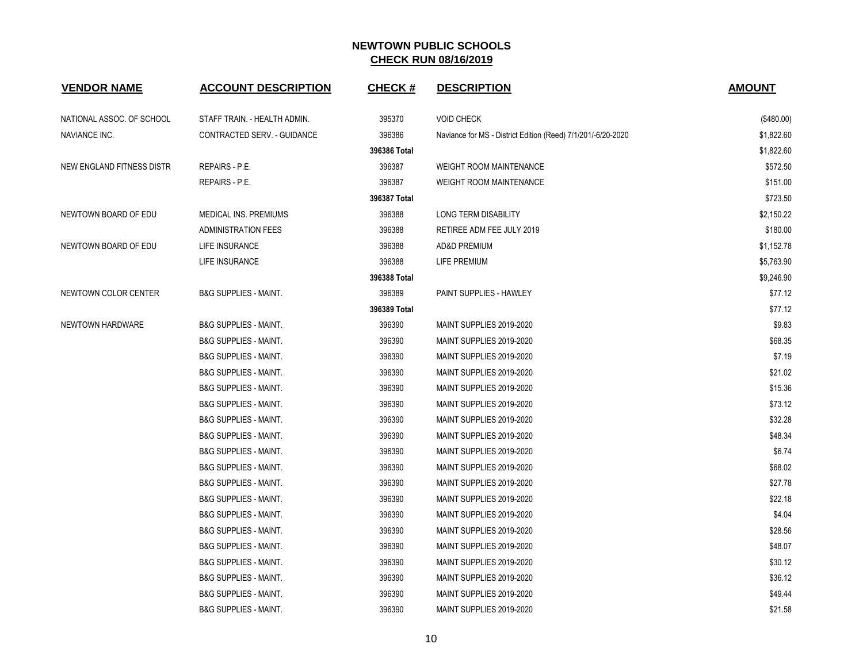| <b>VENDOR NAME</b>        | <b>ACCOUNT DESCRIPTION</b>       | <b>CHECK#</b> | <b>DESCRIPTION</b>                                           | <b>AMOUNT</b> |
|---------------------------|----------------------------------|---------------|--------------------------------------------------------------|---------------|
| NATIONAL ASSOC. OF SCHOOL | STAFF TRAIN. - HEALTH ADMIN.     | 395370        | <b>VOID CHECK</b>                                            | (\$480.00)    |
| NAVIANCE INC.             | CONTRACTED SERV. - GUIDANCE      | 396386        | Naviance for MS - District Edition (Reed) 7/1/201/-6/20-2020 | \$1,822.60    |
|                           |                                  | 396386 Total  |                                                              | \$1,822.60    |
| NEW ENGLAND FITNESS DISTR | <b>REPAIRS - P.E.</b>            | 396387        | <b>WEIGHT ROOM MAINTENANCE</b>                               | \$572.50      |
|                           | <b>REPAIRS - P.E.</b>            | 396387        | <b>WEIGHT ROOM MAINTENANCE</b>                               | \$151.00      |
|                           |                                  | 396387 Total  |                                                              | \$723.50      |
| NEWTOWN BOARD OF EDU      | MEDICAL INS. PREMIUMS            | 396388        | <b>LONG TERM DISABILITY</b>                                  | \$2,150.22    |
|                           | <b>ADMINISTRATION FEES</b>       | 396388        | RETIREE ADM FEE JULY 2019                                    | \$180.00      |
| NEWTOWN BOARD OF EDU      | <b>LIFE INSURANCE</b>            | 396388        | AD&D PREMIUM                                                 | \$1,152.78    |
|                           | LIFE INSURANCE                   | 396388        | LIFE PREMIUM                                                 | \$5,763.90    |
|                           |                                  | 396388 Total  |                                                              | \$9,246.90    |
| NEWTOWN COLOR CENTER      | <b>B&amp;G SUPPLIES - MAINT.</b> | 396389        | <b>PAINT SUPPLIES - HAWLEY</b>                               | \$77.12       |
|                           |                                  | 396389 Total  |                                                              | \$77.12       |
| NEWTOWN HARDWARE          | <b>B&amp;G SUPPLIES - MAINT.</b> | 396390        | MAINT SUPPLIES 2019-2020                                     | \$9.83        |
|                           | <b>B&amp;G SUPPLIES - MAINT.</b> | 396390        | MAINT SUPPLIES 2019-2020                                     | \$68.35       |
|                           | <b>B&amp;G SUPPLIES - MAINT.</b> | 396390        | MAINT SUPPLIES 2019-2020                                     | \$7.19        |
|                           | <b>B&amp;G SUPPLIES - MAINT.</b> | 396390        | MAINT SUPPLIES 2019-2020                                     | \$21.02       |
|                           | <b>B&amp;G SUPPLIES - MAINT.</b> | 396390        | MAINT SUPPLIES 2019-2020                                     | \$15.36       |
|                           | <b>B&amp;G SUPPLIES - MAINT.</b> | 396390        | MAINT SUPPLIES 2019-2020                                     | \$73.12       |
|                           | <b>B&amp;G SUPPLIES - MAINT.</b> | 396390        | MAINT SUPPLIES 2019-2020                                     | \$32.28       |
|                           | <b>B&amp;G SUPPLIES - MAINT.</b> | 396390        | MAINT SUPPLIES 2019-2020                                     | \$48.34       |
|                           | <b>B&amp;G SUPPLIES - MAINT.</b> | 396390        | MAINT SUPPLIES 2019-2020                                     | \$6.74        |
|                           | <b>B&amp;G SUPPLIES - MAINT.</b> | 396390        | MAINT SUPPLIES 2019-2020                                     | \$68.02       |
|                           | <b>B&amp;G SUPPLIES - MAINT.</b> | 396390        | MAINT SUPPLIES 2019-2020                                     | \$27.78       |
|                           | <b>B&amp;G SUPPLIES - MAINT.</b> | 396390        | MAINT SUPPLIES 2019-2020                                     | \$22.18       |
|                           | <b>B&amp;G SUPPLIES - MAINT.</b> | 396390        | MAINT SUPPLIES 2019-2020                                     | \$4.04        |
|                           | <b>B&amp;G SUPPLIES - MAINT.</b> | 396390        | MAINT SUPPLIES 2019-2020                                     | \$28.56       |
|                           | <b>B&amp;G SUPPLIES - MAINT.</b> | 396390        | MAINT SUPPLIES 2019-2020                                     | \$48.07       |
|                           | <b>B&amp;G SUPPLIES - MAINT.</b> | 396390        | MAINT SUPPLIES 2019-2020                                     | \$30.12       |
|                           | <b>B&amp;G SUPPLIES - MAINT.</b> | 396390        | MAINT SUPPLIES 2019-2020                                     | \$36.12       |
|                           | <b>B&amp;G SUPPLIES - MAINT.</b> | 396390        | MAINT SUPPLIES 2019-2020                                     | \$49.44       |
|                           | <b>B&amp;G SUPPLIES - MAINT.</b> | 396390        | MAINT SUPPLIES 2019-2020                                     | \$21.58       |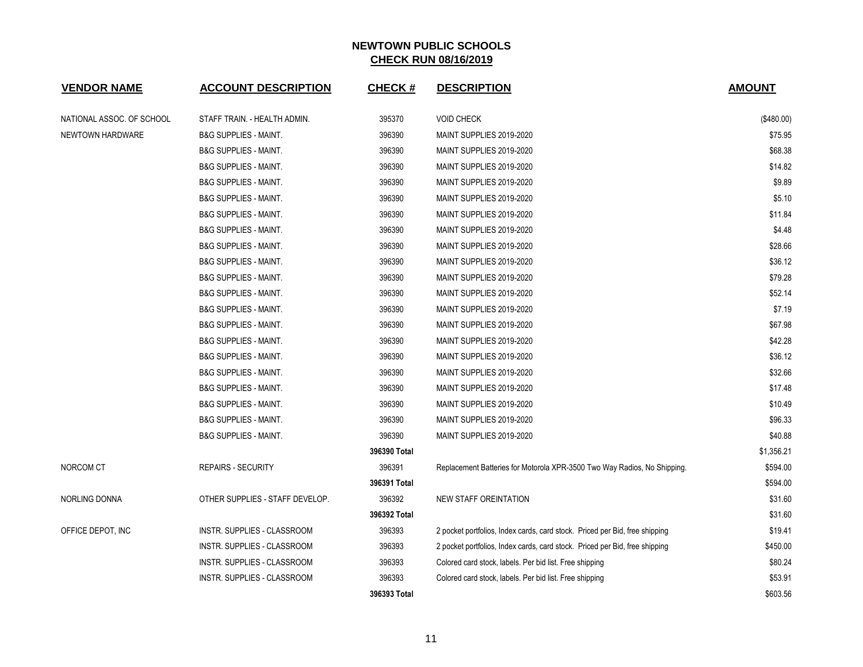| <b>VENDOR NAME</b>        | <b>ACCOUNT DESCRIPTION</b>         | <b>CHECK#</b> | <b>DESCRIPTION</b>                                                          | <b>AMOUNT</b> |
|---------------------------|------------------------------------|---------------|-----------------------------------------------------------------------------|---------------|
| NATIONAL ASSOC. OF SCHOOL | STAFF TRAIN. - HEALTH ADMIN.       | 395370        | <b>VOID CHECK</b>                                                           | $(\$480.00)$  |
| <b>NEWTOWN HARDWARE</b>   | <b>B&amp;G SUPPLIES - MAINT.</b>   | 396390        | MAINT SUPPLIES 2019-2020                                                    | \$75.95       |
|                           | <b>B&amp;G SUPPLIES - MAINT.</b>   | 396390        | MAINT SUPPLIES 2019-2020                                                    | \$68.38       |
|                           | <b>B&amp;G SUPPLIES - MAINT.</b>   | 396390        | MAINT SUPPLIES 2019-2020                                                    | \$14.82       |
|                           | <b>B&amp;G SUPPLIES - MAINT.</b>   | 396390        | MAINT SUPPLIES 2019-2020                                                    | \$9.89        |
|                           | <b>B&amp;G SUPPLIES - MAINT.</b>   | 396390        | MAINT SUPPLIES 2019-2020                                                    | \$5.10        |
|                           | <b>B&amp;G SUPPLIES - MAINT.</b>   | 396390        | MAINT SUPPLIES 2019-2020                                                    | \$11.84       |
|                           | <b>B&amp;G SUPPLIES - MAINT.</b>   | 396390        | MAINT SUPPLIES 2019-2020                                                    | \$4.48        |
|                           | <b>B&amp;G SUPPLIES - MAINT.</b>   | 396390        | MAINT SUPPLIES 2019-2020                                                    | \$28.66       |
|                           | <b>B&amp;G SUPPLIES - MAINT.</b>   | 396390        | MAINT SUPPLIES 2019-2020                                                    | \$36.12       |
|                           | <b>B&amp;G SUPPLIES - MAINT.</b>   | 396390        | MAINT SUPPLIES 2019-2020                                                    | \$79.28       |
|                           | <b>B&amp;G SUPPLIES - MAINT.</b>   | 396390        | MAINT SUPPLIES 2019-2020                                                    | \$52.14       |
|                           | <b>B&amp;G SUPPLIES - MAINT.</b>   | 396390        | MAINT SUPPLIES 2019-2020                                                    | \$7.19        |
|                           | <b>B&amp;G SUPPLIES - MAINT.</b>   | 396390        | MAINT SUPPLIES 2019-2020                                                    | \$67.98       |
|                           | <b>B&amp;G SUPPLIES - MAINT.</b>   | 396390        | MAINT SUPPLIES 2019-2020                                                    | \$42.28       |
|                           | <b>B&amp;G SUPPLIES - MAINT.</b>   | 396390        | MAINT SUPPLIES 2019-2020                                                    | \$36.12       |
|                           | <b>B&amp;G SUPPLIES - MAINT.</b>   | 396390        | MAINT SUPPLIES 2019-2020                                                    | \$32.66       |
|                           | <b>B&amp;G SUPPLIES - MAINT.</b>   | 396390        | MAINT SUPPLIES 2019-2020                                                    | \$17.48       |
|                           | <b>B&amp;G SUPPLIES - MAINT.</b>   | 396390        | MAINT SUPPLIES 2019-2020                                                    | \$10.49       |
|                           | <b>B&amp;G SUPPLIES - MAINT.</b>   | 396390        | MAINT SUPPLIES 2019-2020                                                    | \$96.33       |
|                           | <b>B&amp;G SUPPLIES - MAINT.</b>   | 396390        | MAINT SUPPLIES 2019-2020                                                    | \$40.88       |
|                           |                                    | 396390 Total  |                                                                             | \$1,356.21    |
| NORCOM CT                 | <b>REPAIRS - SECURITY</b>          | 396391        | Replacement Batteries for Motorola XPR-3500 Two Way Radios, No Shipping.    | \$594.00      |
|                           |                                    | 396391 Total  |                                                                             | \$594.00      |
| NORLING DONNA             | OTHER SUPPLIES - STAFF DEVELOP.    | 396392        | NEW STAFF OREINTATION                                                       | \$31.60       |
|                           |                                    | 396392 Total  |                                                                             | \$31.60       |
| OFFICE DEPOT, INC         | <b>INSTR. SUPPLIES - CLASSROOM</b> | 396393        | 2 pocket portfolios, Index cards, card stock. Priced per Bid, free shipping | \$19.41       |
|                           | INSTR. SUPPLIES - CLASSROOM        | 396393        | 2 pocket portfolios, Index cards, card stock. Priced per Bid, free shipping | \$450.00      |
|                           | INSTR. SUPPLIES - CLASSROOM        | 396393        | Colored card stock, labels. Per bid list. Free shipping                     | \$80.24       |
|                           | INSTR. SUPPLIES - CLASSROOM        | 396393        | Colored card stock, labels. Per bid list. Free shipping                     | \$53.91       |
|                           |                                    | 396393 Total  |                                                                             | \$603.56      |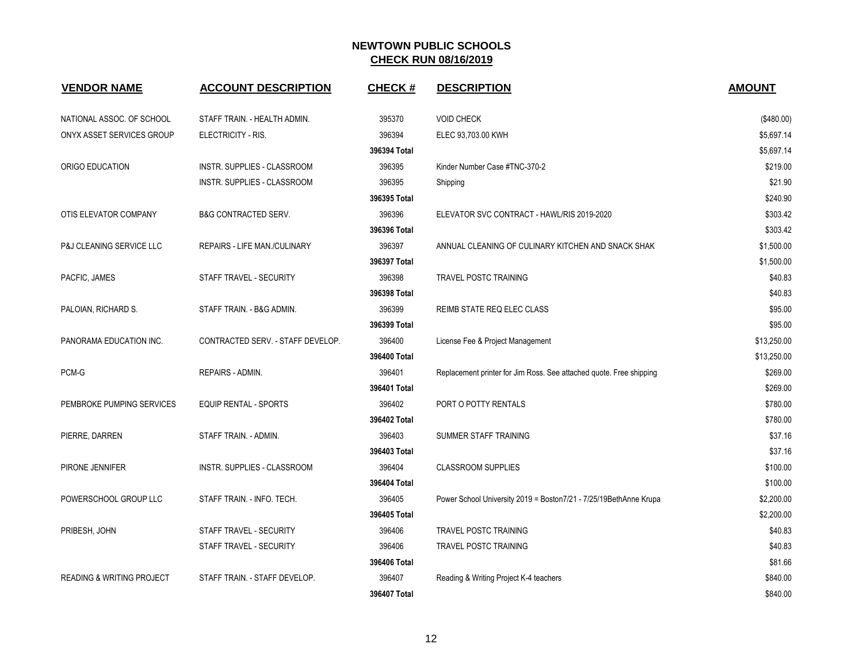| <b>VENDOR NAME</b>                   | <b>ACCOUNT DESCRIPTION</b>        | <b>CHECK#</b> | <b>DESCRIPTION</b>                                                  | <b>AMOUNT</b> |
|--------------------------------------|-----------------------------------|---------------|---------------------------------------------------------------------|---------------|
| NATIONAL ASSOC. OF SCHOOL            | STAFF TRAIN. - HEALTH ADMIN.      | 395370        | <b>VOID CHECK</b>                                                   | (\$480.00)    |
| ONYX ASSET SERVICES GROUP            | ELECTRICITY - RIS.                | 396394        | ELEC 93,703.00 KWH                                                  | \$5,697.14    |
|                                      |                                   | 396394 Total  |                                                                     | \$5,697.14    |
| ORIGO EDUCATION                      | INSTR. SUPPLIES - CLASSROOM       | 396395        | Kinder Number Case #TNC-370-2                                       | \$219.00      |
|                                      | INSTR. SUPPLIES - CLASSROOM       | 396395        | Shipping                                                            | \$21.90       |
|                                      |                                   | 396395 Total  |                                                                     | \$240.90      |
| OTIS ELEVATOR COMPANY                | <b>B&amp;G CONTRACTED SERV.</b>   | 396396        | ELEVATOR SVC CONTRACT - HAWL/RIS 2019-2020                          | \$303.42      |
|                                      |                                   | 396396 Total  |                                                                     | \$303.42      |
| P&J CLEANING SERVICE LLC             | REPAIRS - LIFE MAN./CULINARY      | 396397        | ANNUAL CLEANING OF CULINARY KITCHEN AND SNACK SHAK                  | \$1,500.00    |
|                                      |                                   | 396397 Total  |                                                                     | \$1,500.00    |
| PACFIC, JAMES                        | STAFF TRAVEL - SECURITY           | 396398        | <b>TRAVEL POSTC TRAINING</b>                                        | \$40.83       |
|                                      |                                   | 396398 Total  |                                                                     | \$40.83       |
| PALOIAN, RICHARD S.                  | STAFF TRAIN. - B&G ADMIN.         | 396399        | REIMB STATE REQ ELEC CLASS                                          | \$95.00       |
|                                      |                                   | 396399 Total  |                                                                     | \$95.00       |
| PANORAMA EDUCATION INC.              | CONTRACTED SERV. - STAFF DEVELOP. | 396400        | License Fee & Project Management                                    | \$13,250.00   |
|                                      |                                   | 396400 Total  |                                                                     | \$13,250.00   |
| PCM-G                                | REPAIRS - ADMIN.                  | 396401        | Replacement printer for Jim Ross. See attached quote. Free shipping | \$269.00      |
|                                      |                                   | 396401 Total  |                                                                     | \$269.00      |
| PEMBROKE PUMPING SERVICES            | <b>EQUIP RENTAL - SPORTS</b>      | 396402        | PORT O POTTY RENTALS                                                | \$780.00      |
|                                      |                                   | 396402 Total  |                                                                     | \$780.00      |
| PIERRE, DARREN                       | STAFF TRAIN. - ADMIN.             | 396403        | SUMMER STAFF TRAINING                                               | \$37.16       |
|                                      |                                   | 396403 Total  |                                                                     | \$37.16       |
| PIRONE JENNIFER                      | INSTR. SUPPLIES - CLASSROOM       | 396404        | <b>CLASSROOM SUPPLIES</b>                                           | \$100.00      |
|                                      |                                   | 396404 Total  |                                                                     | \$100.00      |
| POWERSCHOOL GROUP LLC                | STAFF TRAIN. - INFO. TECH.        | 396405        | Power School University 2019 = Boston7/21 - 7/25/19BethAnne Krupa   | \$2,200.00    |
|                                      |                                   | 396405 Total  |                                                                     | \$2,200.00    |
| PRIBESH, JOHN                        | STAFF TRAVEL - SECURITY           | 396406        | <b>TRAVEL POSTC TRAINING</b>                                        | \$40.83       |
|                                      | STAFF TRAVEL - SECURITY           | 396406        | <b>TRAVEL POSTC TRAINING</b>                                        | \$40.83       |
|                                      |                                   | 396406 Total  |                                                                     | \$81.66       |
| <b>READING &amp; WRITING PROJECT</b> | STAFF TRAIN. - STAFF DEVELOP.     | 396407        | Reading & Writing Project K-4 teachers                              | \$840.00      |
|                                      |                                   | 396407 Total  |                                                                     | \$840.00      |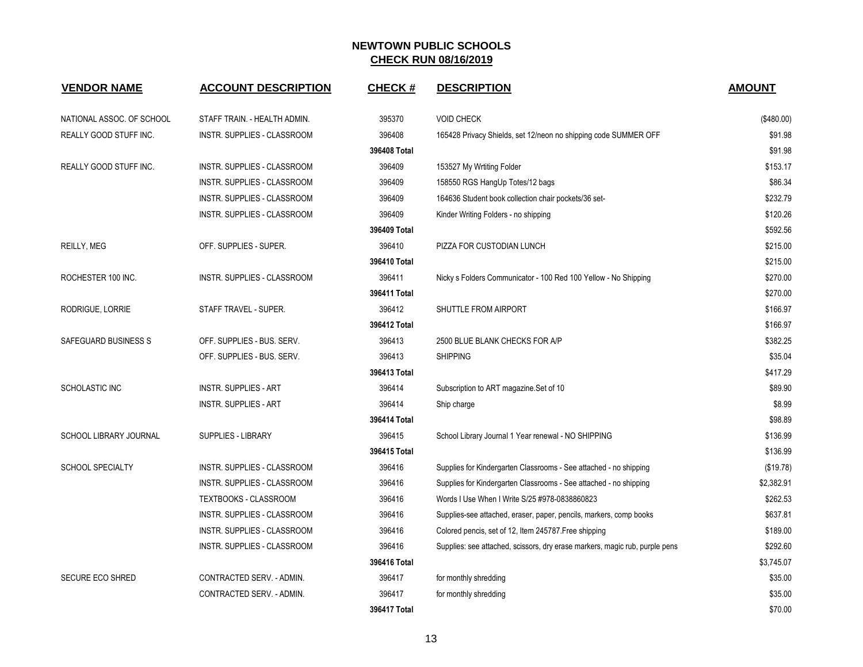| <b>VENDOR NAME</b>        | <b>ACCOUNT DESCRIPTION</b>   | <b>CHECK#</b> | <b>DESCRIPTION</b>                                                          | <b>AMOUNT</b> |
|---------------------------|------------------------------|---------------|-----------------------------------------------------------------------------|---------------|
| NATIONAL ASSOC. OF SCHOOL | STAFF TRAIN. - HEALTH ADMIN. | 395370        | <b>VOID CHECK</b>                                                           | (\$480.00)    |
| REALLY GOOD STUFF INC.    | INSTR. SUPPLIES - CLASSROOM  | 396408        | 165428 Privacy Shields, set 12/neon no shipping code SUMMER OFF             | \$91.98       |
|                           |                              | 396408 Total  |                                                                             | \$91.98       |
| REALLY GOOD STUFF INC.    | INSTR. SUPPLIES - CLASSROOM  | 396409        | 153527 My Wrtiting Folder                                                   | \$153.17      |
|                           | INSTR. SUPPLIES - CLASSROOM  | 396409        | 158550 RGS HangUp Totes/12 bags                                             | \$86.34       |
|                           | INSTR. SUPPLIES - CLASSROOM  | 396409        | 164636 Student book collection chair pockets/36 set-                        | \$232.79      |
|                           | INSTR. SUPPLIES - CLASSROOM  | 396409        | Kinder Writing Folders - no shipping                                        | \$120.26      |
|                           |                              | 396409 Total  |                                                                             | \$592.56      |
| REILLY, MEG               | OFF. SUPPLIES - SUPER.       | 396410        | PIZZA FOR CUSTODIAN LUNCH                                                   | \$215.00      |
|                           |                              | 396410 Total  |                                                                             | \$215.00      |
| ROCHESTER 100 INC.        | INSTR. SUPPLIES - CLASSROOM  | 396411        | Nicky s Folders Communicator - 100 Red 100 Yellow - No Shipping             | \$270.00      |
|                           |                              | 396411 Total  |                                                                             | \$270.00      |
| RODRIGUE, LORRIE          | STAFF TRAVEL - SUPER.        | 396412        | SHUTTLE FROM AIRPORT                                                        | \$166.97      |
|                           |                              | 396412 Total  |                                                                             | \$166.97      |
| SAFEGUARD BUSINESS S      | OFF. SUPPLIES - BUS. SERV.   | 396413        | 2500 BLUE BLANK CHECKS FOR A/P                                              | \$382.25      |
|                           | OFF. SUPPLIES - BUS. SERV.   | 396413        | <b>SHIPPING</b>                                                             | \$35.04       |
|                           |                              | 396413 Total  |                                                                             | \$417.29      |
| SCHOLASTIC INC            | <b>INSTR. SUPPLIES - ART</b> | 396414        | Subscription to ART magazine.Set of 10                                      | \$89.90       |
|                           | <b>INSTR. SUPPLIES - ART</b> | 396414        | Ship charge                                                                 | \$8.99        |
|                           |                              | 396414 Total  |                                                                             | \$98.89       |
| SCHOOL LIBRARY JOURNAL    | SUPPLIES - LIBRARY           | 396415        | School Library Journal 1 Year renewal - NO SHIPPING                         | \$136.99      |
|                           |                              | 396415 Total  |                                                                             | \$136.99      |
| SCHOOL SPECIALTY          | INSTR. SUPPLIES - CLASSROOM  | 396416        | Supplies for Kindergarten Classrooms - See attached - no shipping           | (\$19.78)     |
|                           | INSTR. SUPPLIES - CLASSROOM  | 396416        | Supplies for Kindergarten Classrooms - See attached - no shipping           | \$2,382.91    |
|                           | TEXTBOOKS - CLASSROOM        | 396416        | Words I Use When I Write S/25 #978-0838860823                               | \$262.53      |
|                           | INSTR. SUPPLIES - CLASSROOM  | 396416        | Supplies-see attached, eraser, paper, pencils, markers, comp books          | \$637.81      |
|                           | INSTR. SUPPLIES - CLASSROOM  | 396416        | Colored pencis, set of 12, Item 245787. Free shipping                       | \$189.00      |
|                           | INSTR. SUPPLIES - CLASSROOM  | 396416        | Supplies: see attached, scissors, dry erase markers, magic rub, purple pens | \$292.60      |
|                           |                              | 396416 Total  |                                                                             | \$3,745.07    |
| SECURE ECO SHRED          | CONTRACTED SERV. - ADMIN.    | 396417        | for monthly shredding                                                       | \$35.00       |
|                           | CONTRACTED SERV. - ADMIN.    | 396417        | for monthly shredding                                                       | \$35.00       |
|                           |                              | 396417 Total  |                                                                             | \$70.00       |